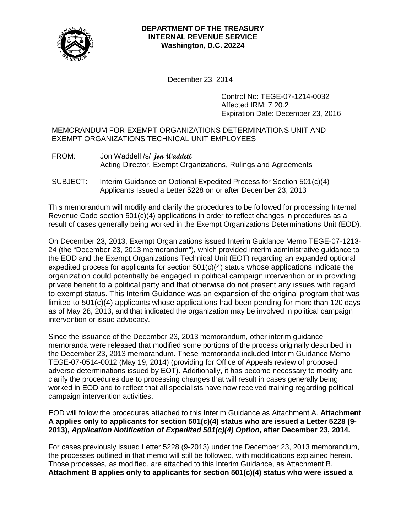

#### **DEPARTMENT OF THE TREASURY INTERNAL REVENUE SERVICE Washington, D.C. 20224**

December 23, 2014

Control No: TEGE-07-1214-0032 Affected IRM: 7.20.2 Expiration Date: December 23, 2016

## MEMORANDUM FOR EXEMPT ORGANIZATIONS DETERMINATIONS UNIT AND EXEMPT ORGANIZATIONS TECHNICAL UNIT EMPLOYEES

- FROM: Jon Waddell /s/ **Jon Waddell** Acting Director, Exempt Organizations, Rulings and Agreements
- SUBJECT: Interim Guidance on Optional Expedited Process for Section 501(c)(4) Applicants Issued a Letter 5228 on or after December 23, 2013

This memorandum will modify and clarify the procedures to be followed for processing Internal Revenue Code section 501(c)(4) applications in order to reflect changes in procedures as a result of cases generally being worked in the Exempt Organizations Determinations Unit (EOD).

On December 23, 2013, Exempt Organizations issued Interim Guidance Memo TEGE-07-1213- 24 (the "December 23, 2013 memorandum"), which provided interim administrative guidance to the EOD and the Exempt Organizations Technical Unit (EOT) regarding an expanded optional expedited process for applicants for section 501(c)(4) status whose applications indicate the organization could potentially be engaged in political campaign intervention or in providing private benefit to a political party and that otherwise do not present any issues with regard to exempt status. This Interim Guidance was an expansion of the original program that was limited to 501(c)(4) applicants whose applications had been pending for more than 120 days as of May 28, 2013, and that indicated the organization may be involved in political campaign intervention or issue advocacy.

Since the issuance of the December 23, 2013 memorandum, other interim guidance memoranda were released that modified some portions of the process originally described in the December 23, 2013 memorandum. These memoranda included Interim Guidance Memo TEGE-07-0514-0012 (May 19, 2014) (providing for Office of Appeals review of proposed adverse determinations issued by EOT). Additionally, it has become necessary to modify and clarify the procedures due to processing changes that will result in cases generally being worked in EOD and to reflect that all specialists have now received training regarding political campaign intervention activities.

EOD will follow the procedures attached to this Interim Guidance as Attachment A. **Attachment A applies only to applicants for section 501(c)(4) status who are issued a Letter 5228 (9- 2013),** *Application Notification of Expedited 501(c)(4) Option***, after December 23, 2014.**

For cases previously issued Letter 5228 (9-2013) under the December 23, 2013 memorandum, the processes outlined in that memo will still be followed, with modifications explained herein. Those processes, as modified, are attached to this Interim Guidance, as Attachment B. **Attachment B applies only to applicants for section 501(c)(4) status who were issued a**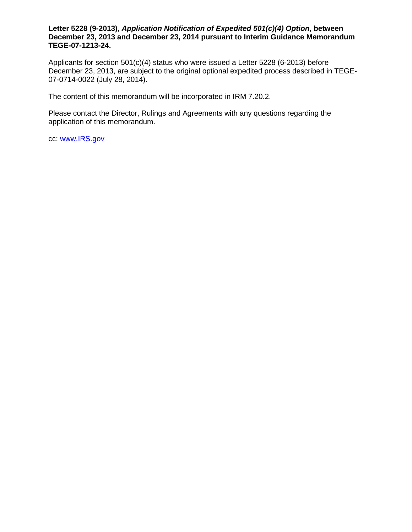#### **Letter 5228 (9-2013),** *Application Notification of Expedited 501(c)(4) Option***, between December 23, 2013 and December 23, 2014 pursuant to Interim Guidance Memorandum TEGE-07-1213-24.**

Applicants for section 501(c)(4) status who were issued a Letter 5228 (6-2013) before December 23, 2013, are subject to the original optional expedited process described in TEGE-07-0714-0022 (July 28, 2014).

The content of this memorandum will be incorporated in IRM 7.20.2.

Please contact the Director, Rulings and Agreements with any questions regarding the application of this memorandum.

cc: www.IRS.gov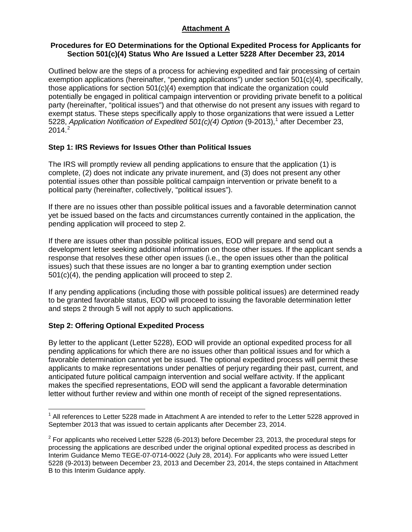# **Attachment A**

## **Procedures for EO Determinations for the Optional Expedited Process for Applicants for Section 501(c)(4) Status Who Are Issued a Letter 5228 After December 23, 2014**

Outlined below are the steps of a process for achieving expedited and fair processing of certain exemption applications (hereinafter, "pending applications") under section 501(c)(4), specifically, those applications for section  $501(c)(4)$  exemption that indicate the organization could potentially be engaged in political campaign intervention or providing private benefit to a political party (hereinafter, "political issues") and that otherwise do not present any issues with regard to exempt status. These steps specifically apply to those organizations that were issued a Letter 5228, *Application Notification of Expedited 50[1](#page-2-0)(c)(4) Option (9-2013)*,<sup>1</sup> after December 23,  $2014.<sup>2</sup>$  $2014.<sup>2</sup>$ 

## **Step 1: IRS Reviews for Issues Other than Political Issues**

The IRS will promptly review all pending applications to ensure that the application (1) is complete, (2) does not indicate any private inurement, and (3) does not present any other potential issues other than possible political campaign intervention or private benefit to a political party (hereinafter, collectively, "political issues").

If there are no issues other than possible political issues and a favorable determination cannot yet be issued based on the facts and circumstances currently contained in the application, the pending application will proceed to step 2.

If there are issues other than possible political issues, EOD will prepare and send out a development letter seeking additional information on those other issues. If the applicant sends a response that resolves these other open issues (i.e., the open issues other than the political issues) such that these issues are no longer a bar to granting exemption under section 501(c)(4), the pending application will proceed to step 2.

If any pending applications (including those with possible political issues) are determined ready to be granted favorable status, EOD will proceed to issuing the favorable determination letter and steps 2 through 5 will not apply to such applications.

# **Step 2: Offering Optional Expedited Process**

By letter to the applicant (Letter 5228), EOD will provide an optional expedited process for all pending applications for which there are no issues other than political issues and for which a favorable determination cannot yet be issued. The optional expedited process will permit these applicants to make representations under penalties of perjury regarding their past, current, and anticipated future political campaign intervention and social welfare activity. If the applicant makes the specified representations, EOD will send the applicant a favorable determination letter without further review and within one month of receipt of the signed representations.

<span id="page-2-0"></span> $1$  All references to Letter 5228 made in Attachment A are intended to refer to the Letter 5228 approved in September 2013 that was issued to certain applicants after December 23, 2014.

<span id="page-2-1"></span> $2$  For applicants who received Letter 5228 (6-2013) before December 23, 2013, the procedural steps for processing the applications are described under the original optional expedited process as described in Interim Guidance Memo TEGE-07-0714-0022 (July 28, 2014). For applicants who were issued Letter 5228 (9-2013) between December 23, 2013 and December 23, 2014, the steps contained in Attachment B to this Interim Guidance apply.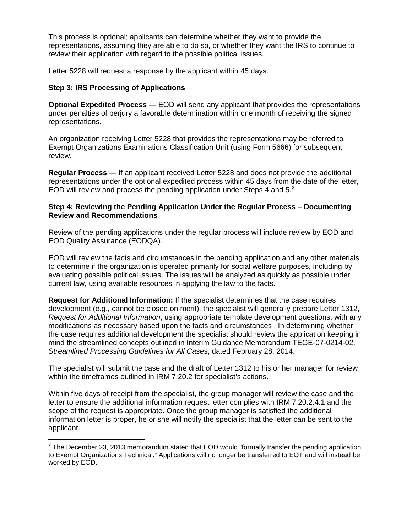This process is optional; applicants can determine whether they want to provide the representations, assuming they are able to do so, or whether they want the IRS to continue to review their application with regard to the possible political issues.

Letter 5228 will request a response by the applicant within 45 days.

### **Step 3: IRS Processing of Applications**

**Optional Expedited Process** — EOD will send any applicant that provides the representations under penalties of perjury a favorable determination within one month of receiving the signed representations.

An organization receiving Letter 5228 that provides the representations may be referred to Exempt Organizations Examinations Classification Unit (using Form 5666) for subsequent review.

**Regular Process** — If an applicant received Letter 5228 and does not provide the additional representations under the optional expedited process within 45 days from the date of the letter, EOD will review and process the pending application under Steps 4 and  $5<sup>3</sup>$  $5<sup>3</sup>$  $5<sup>3</sup>$ 

#### **Step 4: Reviewing the Pending Application Under the Regular Process – Documenting Review and Recommendations**

Review of the pending applications under the regular process will include review by EOD and EOD Quality Assurance (EODQA).

EOD will review the facts and circumstances in the pending application and any other materials to determine if the organization is operated primarily for social welfare purposes, including by evaluating possible political issues. The issues will be analyzed as quickly as possible under current law, using available resources in applying the law to the facts.

**Request for Additional Information:** If the specialist determines that the case requires development (e.g., cannot be closed on merit), the specialist will generally prepare Letter 1312, *Request for Additional Information*, using appropriate template development questions, with any modifications as necessary based upon the facts and circumstances . In determining whether the case requires additional development the specialist should review the application keeping in mind the streamlined concepts outlined in Interim Guidance Memorandum TEGE-07-0214-02, *Streamlined Processing Guidelines for All Cases*, dated February 28, 2014.

The specialist will submit the case and the draft of Letter 1312 to his or her manager for review within the timeframes outlined in IRM 7.20.2 for specialist's actions.

Within five days of receipt from the specialist, the group manager will review the case and the letter to ensure the additional information request letter complies with IRM 7.20.2.4.1 and the scope of the request is appropriate. Once the group manager is satisfied the additional information letter is proper, he or she will notify the specialist that the letter can be sent to the applicant.

<span id="page-3-0"></span><sup>&</sup>lt;sup>3</sup> The December 23, 2013 memorandum stated that EOD would "formally transfer the pending application to Exempt Organizations Technical." Applications will no longer be transferred to EOT and will instead be worked by EOD.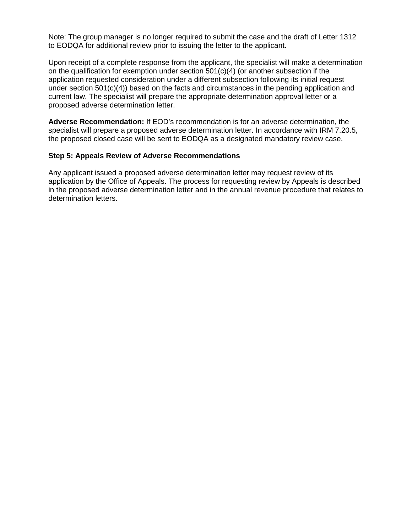Note: The group manager is no longer required to submit the case and the draft of Letter 1312 to EODQA for additional review prior to issuing the letter to the applicant.

Upon receipt of a complete response from the applicant, the specialist will make a determination on the qualification for exemption under section  $501(c)(4)$  (or another subsection if the application requested consideration under a different subsection following its initial request under section 501(c)(4)) based on the facts and circumstances in the pending application and current law. The specialist will prepare the appropriate determination approval letter or a proposed adverse determination letter.

**Adverse Recommendation:** If EOD's recommendation is for an adverse determination, the specialist will prepare a proposed adverse determination letter. In accordance with IRM 7.20.5, the proposed closed case will be sent to EODQA as a designated mandatory review case.

#### **Step 5: Appeals Review of Adverse Recommendations**

Any applicant issued a proposed adverse determination letter may request review of its application by the Office of Appeals. The process for requesting review by Appeals is described in the proposed adverse determination letter and in the annual revenue procedure that relates to determination letters.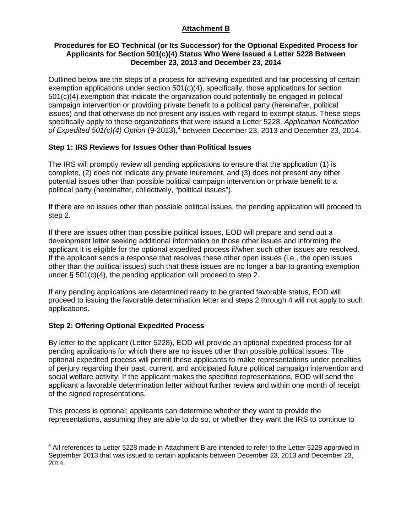# **Attachment B**

## **Procedures for EO Technical (or Its Successor) for the Optional Expedited Process for Applicants for Section 501(c)(4) Status Who Were Issued a Letter 5228 Between December 23, 2013 and December 23, 2014**

Outlined below are the steps of a process for achieving expedited and fair processing of certain exemption applications under section  $501(c)(4)$ , specifically, those applications for section 501(c)(4) exemption that indicate the organization could potentially be engaged in political campaign intervention or providing private benefit to a political party (hereinafter, political issues) and that otherwise do not present any issues with regard to exempt status. These steps specifically apply to those organizations that were issued a Letter 5228, *Application Notification of Expedited 501(c)([4](#page-5-0)) Option (9-2013)*,<sup>4</sup> between December 23, 2013 and December 23, 2014.

# **Step 1: IRS Reviews for Issues Other than Political Issues**

The IRS will promptly review all pending applications to ensure that the application (1) is complete, (2) does not indicate any private inurement, and (3) does not present any other potential issues other than possible political campaign intervention or private benefit to a political party (hereinafter, collectively, "political issues").

If there are no issues other than possible political issues, the pending application will proceed to step 2.

If there are issues other than possible political issues, EOD will prepare and send out a development letter seeking additional information on those other issues and informing the applicant it is eligible for the optional expedited process if/when such other issues are resolved. If the applicant sends a response that resolves these other open issues (i.e., the open issues other than the political issues) such that these issues are no longer a bar to granting exemption under  $\S$  501(c)(4), the pending application will proceed to step 2.

If any pending applications are determined ready to be granted favorable status, EOD will proceed to issuing the favorable determination letter and steps 2 through 4 will not apply to such applications.

# **Step 2: Offering Optional Expedited Process**

By letter to the applicant (Letter 5228), EOD will provide an optional expedited process for all pending applications for which there are no issues other than possible political issues. The optional expedited process will permit these applicants to make representations under penalties of perjury regarding their past, current, and anticipated future political campaign intervention and social welfare activity. If the applicant makes the specified representations, EOD will send the applicant a favorable determination letter without further review and within one month of receipt of the signed representations.

This process is optional; applicants can determine whether they want to provide the representations, assuming they are able to do so, or whether they want the IRS to continue to

<span id="page-5-0"></span><sup>&</sup>lt;sup>4</sup> All references to Letter 5228 made in Attachment B are intended to refer to the Letter 5228 approved in September 2013 that was issued to certain applicants between December 23, 2013 and December 23, 2014.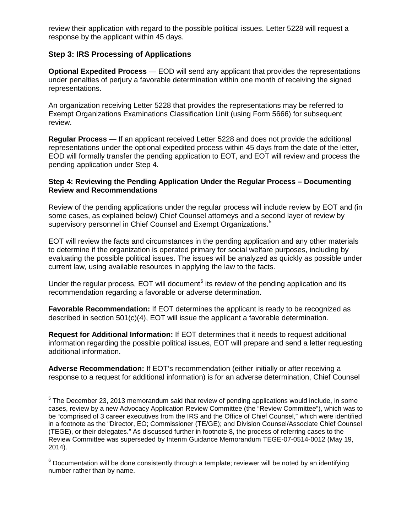review their application with regard to the possible political issues. Letter 5228 will request a response by the applicant within 45 days.

# **Step 3: IRS Processing of Applications**

**Optional Expedited Process** — EOD will send any applicant that provides the representations under penalties of perjury a favorable determination within one month of receiving the signed representations.

An organization receiving Letter 5228 that provides the representations may be referred to Exempt Organizations Examinations Classification Unit (using Form 5666) for subsequent review.

**Regular Process** — If an applicant received Letter 5228 and does not provide the additional representations under the optional expedited process within 45 days from the date of the letter, EOD will formally transfer the pending application to EOT, and EOT will review and process the pending application under Step 4.

### **Step 4: Reviewing the Pending Application Under the Regular Process – Documenting Review and Recommendations**

Review of the pending applications under the regular process will include review by EOT and (in some cases, as explained below) Chief Counsel attorneys and a second layer of review by supervisory personnel in Chief Counsel and Exempt Organizations.<sup>[5](#page-6-0)</sup>

EOT will review the facts and circumstances in the pending application and any other materials to determine if the organization is operated primary for social welfare purposes, including by evaluating the possible political issues. The issues will be analyzed as quickly as possible under current law, using available resources in applying the law to the facts.

Under the regular process, EOT will document $<sup>6</sup>$  $<sup>6</sup>$  $<sup>6</sup>$  its review of the pending application and its</sup> recommendation regarding a favorable or adverse determination.

**Favorable Recommendation:** If EOT determines the applicant is ready to be recognized as described in section 501(c)(4), EOT will issue the applicant a favorable determination.

**Request for Additional Information:** If EOT determines that it needs to request additional information regarding the possible political issues, EOT will prepare and send a letter requesting additional information.

**Adverse Recommendation:** If EOT's recommendation (either initially or after receiving a response to a request for additional information) is for an adverse determination, Chief Counsel

<span id="page-6-0"></span><sup>&</sup>lt;sup>5</sup> The December 23, 2013 memorandum said that review of pending applications would include, in some cases, review by a new Advocacy Application Review Committee (the "Review Committee"), which was to be "comprised of 3 career executives from the IRS and the Office of Chief Counsel," which were identified in a footnote as the "Director, EO; Commissioner (TE/GE); and Division Counsel/Associate Chief Counsel (TEGE), or their delegates." As discussed further in footnote 8, the process of referring cases to the Review Committee was superseded by Interim Guidance Memorandum TEGE-07-0514-0012 (May 19, 2014).

<span id="page-6-1"></span> $6$  Documentation will be done consistently through a template; reviewer will be noted by an identifying number rather than by name.